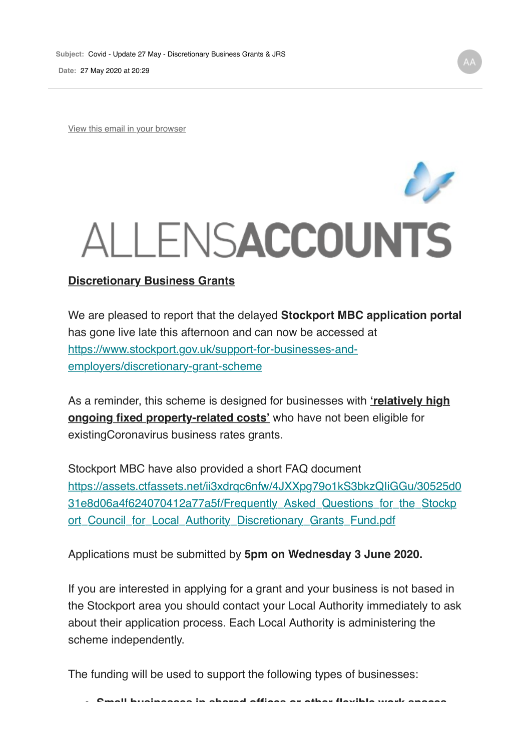**Date:** 27 May 2020 at 20:29

View this email in your browser

## ALLENS**ACCOUNTS**

We are pleased to report that the delayed **Stockport MBC application portal** has gone live late this afternoon and can now be accessed at https://www.stockport.gov.uk/support-for-businesses-andemployers/discretionary-grant-scheme

As a reminder, this scheme is designed for businesses with **'relatively high ongoing fixed property-related costs'** who have not been eligible for existingCoronavirus business rates grants.

Stockport MBC have also provided a short FAQ document https://assets.ctfassets.net/ii3xdrqc6nfw/4JXXpg79o1kS3bkzQIiGGu/30525d0 31e8d06a4f624070412a77a5f/Frequently\_Asked\_Questions\_for\_the\_Stockp ort Council for Local Authority Discretionary Grants Fund.pdf

Applications must be submitted by **5pm on Wednesday 3 June 2020.**

If you are interested in applying for a grant and your business is not based in the Stockport area you should contact your Local Authority immediately to ask about their application process. Each Local Authority is administering the scheme independently.

The funding will be used to support the following types of businesses: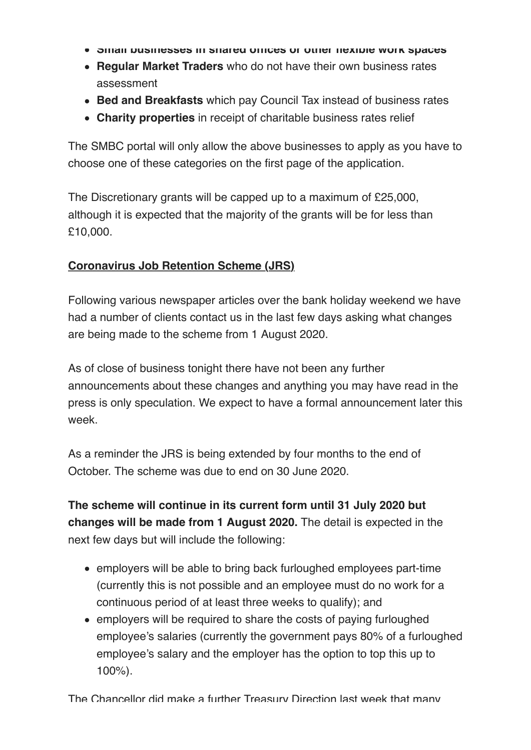- **Small businesses in shared offices or other flexible work spaces**
- **Regular Market Traders** who do not have their own business rates assessment
- **Bed and Breakfasts** which pay Council Tax instead of business rates
- **Charity properties** in receipt of charitable business rates relief

The SMBC portal will only allow the above businesses to apply as you have to choose one of these categories on the first page of the application.

The Discretionary grants will be capped up to a maximum of £25,000, although it is expected that the majority of the grants will be for less than £10,000.

## **Coronavirus Job Retention Scheme (JRS)**

Following various newspaper articles over the bank holiday weekend we have had a number of clients contact us in the last few days asking what changes are being made to the scheme from 1 August 2020.

As of close of business tonight there have not been any further announcements about these changes and anything you may have read in the press is only speculation. We expect to have a formal announcement later this week.

As a reminder the JRS is being extended by four months to the end of October. The scheme was due to end on 30 June 2020.

**The scheme will continue in its current form until 31 July 2020 but changes will be made from 1 August 2020.** The detail is expected in the next few days but will include the following:

- employers will be able to bring back furloughed employees part-time (currently this is not possible and an employee must do no work for a continuous period of at least three weeks to qualify); and
- employers will be required to share the costs of paying furloughed employee's salaries (currently the government pays 80% of a furloughed employee's salary and the employer has the option to top this up to 100%).

The Chancellor did make a further Treasury Direction last week that many